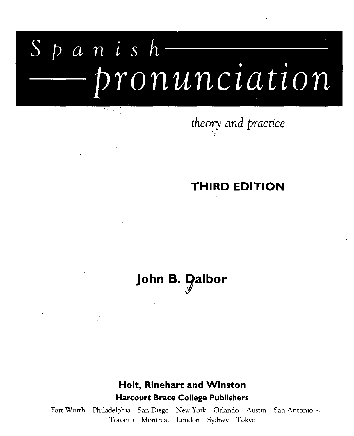# *S p a n i s h* *pronunciation*

 $\mathcal{F}(\mathcal{F})$  and  $\mathcal{F}$ 

E

## *theory and practice*

#### **THIRD EDITION**

### John **B.** Dalbor

#### **Holt, Rinehart and Winston Harcourt Brace College Publishers**

Fort Worth Philadelphia San Diego New York Orlando Austin San Antonio --Toronto Montreal London Sydney Tokyo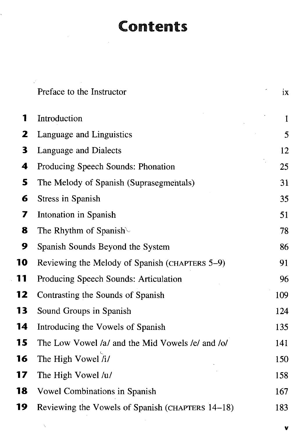#### Contents

÷,

|    | Preface to the Instructor                        | ix  |
|----|--------------------------------------------------|-----|
| 1  | Introduction                                     | 1   |
| 2  | Language and Linguistics                         | 5   |
| 3  | <b>Language and Dialects</b>                     | 12  |
| 4  | Producing Speech Sounds: Phonation               | 25  |
| 5  | The Melody of Spanish (Suprasegmentals)          | 31  |
| 6  | <b>Stress in Spanish</b>                         | 35  |
| 7  | Intonation in Spanish                            | 51  |
| 8  | The Rhythm of Spanish $\mathcal{L}$              | 78  |
| 9  | Spanish Sounds Beyond the System                 | 86  |
| 10 | Reviewing the Melody of Spanish (CHAPTERS 5-9)   | 91  |
| 11 | Producing Speech Sounds: Articulation            | 96  |
| 12 | Contrasting the Sounds of Spanish                | 109 |
| 13 | Sound Groups in Spanish                          | 124 |
| 14 | Introducing the Vowels of Spanish                | 135 |
| 15 | The Low Vowel /a/ and the Mid Vowels /e/ and /o/ | 141 |
| 16 | The High Vowel /i/                               | 150 |
| 17 | The High Vowel /u/                               | 158 |
| 18 | Vowel Combinations in Spanish                    | 167 |
| 19 | Reviewing the Vowels of Spanish (CHAPTERS 14-18) | 183 |

v